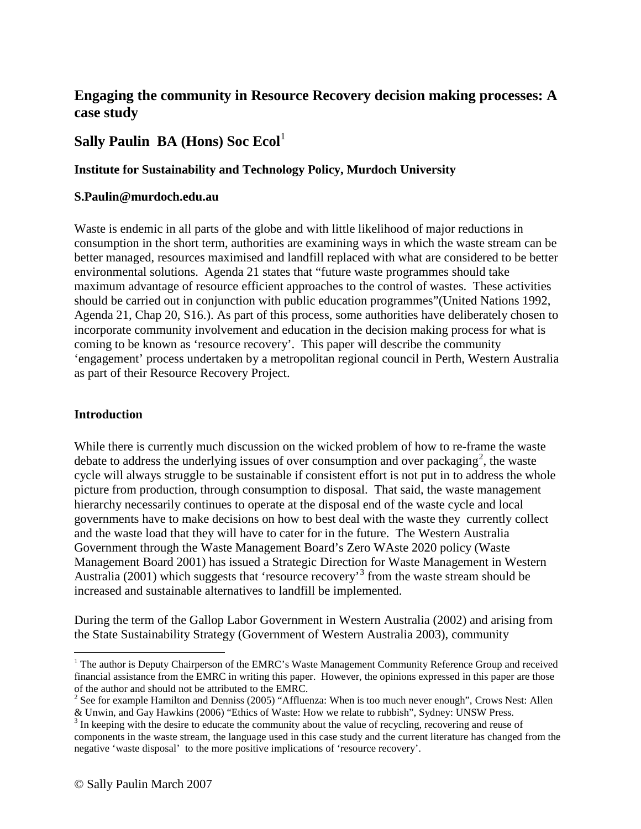# **Engaging the community in Resource Recovery decision making processes: A case study**

# **Sally Paulin BA (Hons) Soc Ecol**<sup>[1](#page-0-0)</sup>

# **Institute for Sustainability and Technology Policy, Murdoch University**

#### **S.Paulin@murdoch.edu.au**

Waste is endemic in all parts of the globe and with little likelihood of major reductions in consumption in the short term, authorities are examining ways in which the waste stream can be better managed, resources maximised and landfill replaced with what are considered to be better environmental solutions. Agenda 21 states that "future waste programmes should take maximum advantage of resource efficient approaches to the control of wastes. These activities should be carried out in conjunction with public education programmes"(United Nations 1992, Agenda 21, Chap 20, S16.). As part of this process, some authorities have deliberately chosen to incorporate community involvement and education in the decision making process for what is coming to be known as 'resource recovery'. This paper will describe the community 'engagement' process undertaken by a metropolitan regional council in Perth, Western Australia as part of their Resource Recovery Project.

#### **Introduction**

While there is currently much discussion on the wicked problem of how to re-frame the waste debate to address the underlying issues of over consumption and over packaging<sup>[2](#page-0-1)</sup>, the waste cycle will always struggle to be sustainable if consistent effort is not put in to address the whole picture from production, through consumption to disposal. That said, the waste management hierarchy necessarily continues to operate at the disposal end of the waste cycle and local governments have to make decisions on how to best deal with the waste they currently collect and the waste load that they will have to cater for in the future. The Western Australia Government through the Waste Management Board's Zero WAste 2020 policy (Waste Management Board 2001) has issued a Strategic Direction for Waste Management in Western Australia (2001) which suggests that 'resource recovery'<sup>[3](#page-0-2)</sup> from the waste stream should be increased and sustainable alternatives to landfill be implemented.

During the term of the Gallop Labor Government in Western Australia (2002) and arising from the State Sustainability Strategy (Government of Western Australia 2003), community

<span id="page-0-0"></span><sup>&</sup>lt;sup>1</sup> The author is Deputy Chairperson of the EMRC's Waste Management Community Reference Group and received financial assistance from the EMRC in writing this paper. However, the opinions expressed in this paper are those of the author and should not be attributed to the EMRC.

<span id="page-0-1"></span><sup>&</sup>lt;sup>2</sup> See for example Hamilton and Denniss (2005) "Affluenza: When is too much never enough", Crows Nest: Allen

<span id="page-0-2"></span><sup>&</sup>amp; Unwin, and Gay Hawkins (2006) "Ethics of Waste: How we relate to rubbish", Sydney: UNSW Press. <sup>3</sup> In keeping with the desire to educate the community about the value of recycling, recovering and reuse of components in the waste stream, the language used in this case study and the current literature has changed from the negative 'waste disposal' to the more positive implications of 'resource recovery'.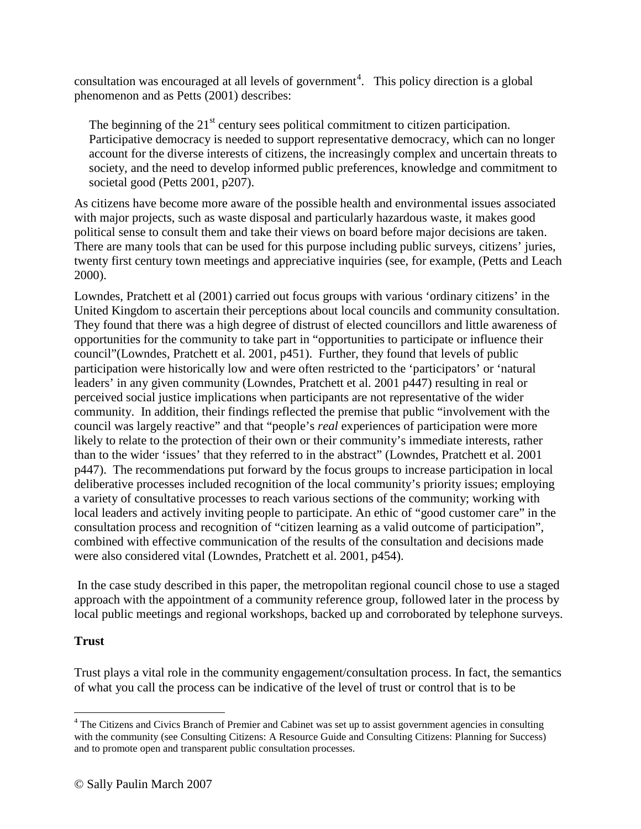consultation was encouraged at all levels of government<sup>[4](#page-1-0)</sup>. This policy direction is a global phenomenon and as Petts (2001) describes:

The beginning of the  $21<sup>st</sup>$  century sees political commitment to citizen participation. Participative democracy is needed to support representative democracy, which can no longer account for the diverse interests of citizens, the increasingly complex and uncertain threats to society, and the need to develop informed public preferences, knowledge and commitment to societal good (Petts 2001, p207).

As citizens have become more aware of the possible health and environmental issues associated with major projects, such as waste disposal and particularly hazardous waste, it makes good political sense to consult them and take their views on board before major decisions are taken. There are many tools that can be used for this purpose including public surveys, citizens' juries, twenty first century town meetings and appreciative inquiries (see, for example, (Petts and Leach 2000).

Lowndes, Pratchett et al (2001) carried out focus groups with various 'ordinary citizens' in the United Kingdom to ascertain their perceptions about local councils and community consultation. They found that there was a high degree of distrust of elected councillors and little awareness of opportunities for the community to take part in "opportunities to participate or influence their council"(Lowndes, Pratchett et al. 2001, p451). Further, they found that levels of public participation were historically low and were often restricted to the 'participators' or 'natural leaders' in any given community (Lowndes, Pratchett et al. 2001 p447) resulting in real or perceived social justice implications when participants are not representative of the wider community. In addition, their findings reflected the premise that public "involvement with the council was largely reactive" and that "people's *real* experiences of participation were more likely to relate to the protection of their own or their community's immediate interests, rather than to the wider 'issues' that they referred to in the abstract" (Lowndes, Pratchett et al. 2001 p447). The recommendations put forward by the focus groups to increase participation in local deliberative processes included recognition of the local community's priority issues; employing a variety of consultative processes to reach various sections of the community; working with local leaders and actively inviting people to participate. An ethic of "good customer care" in the consultation process and recognition of "citizen learning as a valid outcome of participation", combined with effective communication of the results of the consultation and decisions made were also considered vital (Lowndes, Pratchett et al. 2001, p454).

In the case study described in this paper, the metropolitan regional council chose to use a staged approach with the appointment of a community reference group, followed later in the process by local public meetings and regional workshops, backed up and corroborated by telephone surveys.

### **Trust**

Trust plays a vital role in the community engagement/consultation process. In fact, the semantics of what you call the process can be indicative of the level of trust or control that is to be

<span id="page-1-0"></span><sup>&</sup>lt;sup>4</sup> The Citizens and Civics Branch of Premier and Cabinet was set up to assist government agencies in consulting with the community (see Consulting Citizens: A Resource Guide and Consulting Citizens: Planning for Success) and to promote open and transparent public consultation processes.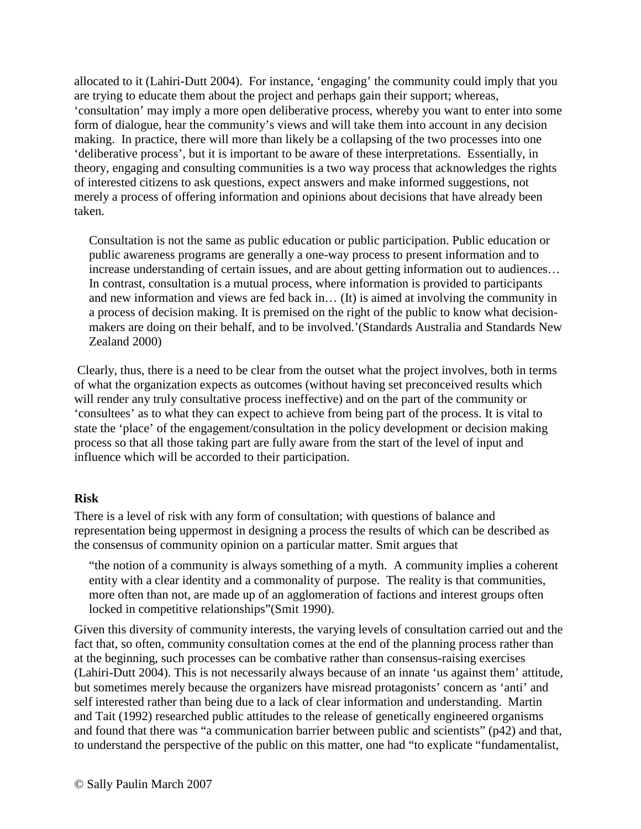allocated to it (Lahiri-Dutt 2004). For instance, 'engaging' the community could imply that you are trying to educate them about the project and perhaps gain their support; whereas, 'consultation' may imply a more open deliberative process, whereby you want to enter into some form of dialogue, hear the community's views and will take them into account in any decision making. In practice, there will more than likely be a collapsing of the two processes into one 'deliberative process', but it is important to be aware of these interpretations. Essentially, in theory, engaging and consulting communities is a two way process that acknowledges the rights of interested citizens to ask questions, expect answers and make informed suggestions, not merely a process of offering information and opinions about decisions that have already been taken.

Consultation is not the same as public education or public participation. Public education or public awareness programs are generally a one-way process to present information and to increase understanding of certain issues, and are about getting information out to audiences… In contrast, consultation is a mutual process, where information is provided to participants and new information and views are fed back in… (It) is aimed at involving the community in a process of decision making. It is premised on the right of the public to know what decisionmakers are doing on their behalf, and to be involved.'(Standards Australia and Standards New Zealand 2000)

Clearly, thus, there is a need to be clear from the outset what the project involves, both in terms of what the organization expects as outcomes (without having set preconceived results which will render any truly consultative process ineffective) and on the part of the community or 'consultees' as to what they can expect to achieve from being part of the process. It is vital to state the 'place' of the engagement/consultation in the policy development or decision making process so that all those taking part are fully aware from the start of the level of input and influence which will be accorded to their participation.

#### **Risk**

There is a level of risk with any form of consultation; with questions of balance and representation being uppermost in designing a process the results of which can be described as the consensus of community opinion on a particular matter. Smit argues that

"the notion of a community is always something of a myth. A community implies a coherent entity with a clear identity and a commonality of purpose. The reality is that communities, more often than not, are made up of an agglomeration of factions and interest groups often locked in competitive relationships"(Smit 1990).

Given this diversity of community interests, the varying levels of consultation carried out and the fact that, so often, community consultation comes at the end of the planning process rather than at the beginning, such processes can be combative rather than consensus-raising exercises (Lahiri-Dutt 2004). This is not necessarily always because of an innate 'us against them' attitude, but sometimes merely because the organizers have misread protagonists' concern as 'anti' and self interested rather than being due to a lack of clear information and understanding. Martin and Tait (1992) researched public attitudes to the release of genetically engineered organisms and found that there was "a communication barrier between public and scientists" (p42) and that, to understand the perspective of the public on this matter, one had "to explicate "fundamentalist,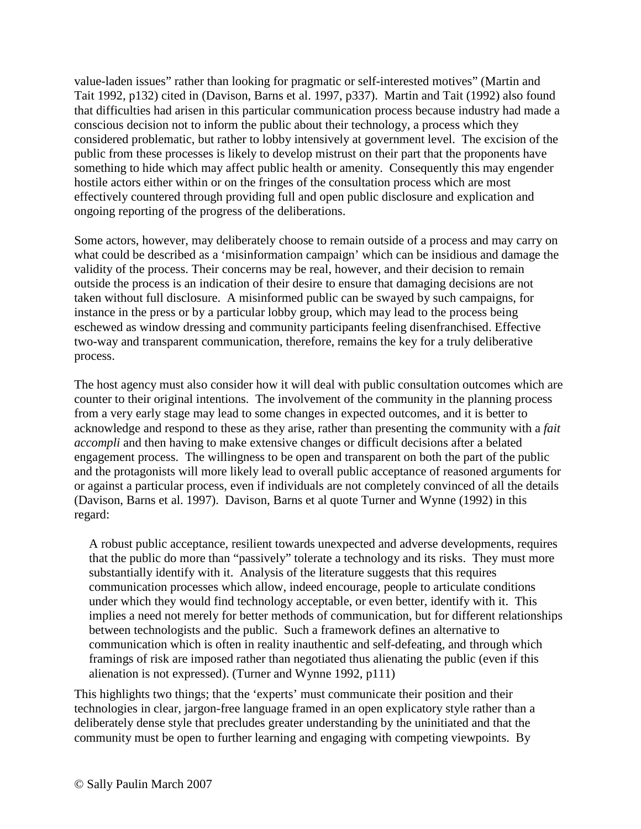value-laden issues" rather than looking for pragmatic or self-interested motives" (Martin and Tait 1992, p132) cited in (Davison, Barns et al. 1997, p337). Martin and Tait (1992) also found that difficulties had arisen in this particular communication process because industry had made a conscious decision not to inform the public about their technology, a process which they considered problematic, but rather to lobby intensively at government level. The excision of the public from these processes is likely to develop mistrust on their part that the proponents have something to hide which may affect public health or amenity. Consequently this may engender hostile actors either within or on the fringes of the consultation process which are most effectively countered through providing full and open public disclosure and explication and ongoing reporting of the progress of the deliberations.

Some actors, however, may deliberately choose to remain outside of a process and may carry on what could be described as a 'misinformation campaign' which can be insidious and damage the validity of the process. Their concerns may be real, however, and their decision to remain outside the process is an indication of their desire to ensure that damaging decisions are not taken without full disclosure. A misinformed public can be swayed by such campaigns, for instance in the press or by a particular lobby group, which may lead to the process being eschewed as window dressing and community participants feeling disenfranchised. Effective two-way and transparent communication, therefore, remains the key for a truly deliberative process.

The host agency must also consider how it will deal with public consultation outcomes which are counter to their original intentions. The involvement of the community in the planning process from a very early stage may lead to some changes in expected outcomes, and it is better to acknowledge and respond to these as they arise, rather than presenting the community with a *fait accompli* and then having to make extensive changes or difficult decisions after a belated engagement process. The willingness to be open and transparent on both the part of the public and the protagonists will more likely lead to overall public acceptance of reasoned arguments for or against a particular process, even if individuals are not completely convinced of all the details (Davison, Barns et al. 1997). Davison, Barns et al quote Turner and Wynne (1992) in this regard:

A robust public acceptance, resilient towards unexpected and adverse developments, requires that the public do more than "passively" tolerate a technology and its risks. They must more substantially identify with it. Analysis of the literature suggests that this requires communication processes which allow, indeed encourage, people to articulate conditions under which they would find technology acceptable, or even better, identify with it. This implies a need not merely for better methods of communication, but for different relationships between technologists and the public. Such a framework defines an alternative to communication which is often in reality inauthentic and self-defeating, and through which framings of risk are imposed rather than negotiated thus alienating the public (even if this alienation is not expressed). (Turner and Wynne 1992, p111)

This highlights two things; that the 'experts' must communicate their position and their technologies in clear, jargon-free language framed in an open explicatory style rather than a deliberately dense style that precludes greater understanding by the uninitiated and that the community must be open to further learning and engaging with competing viewpoints. By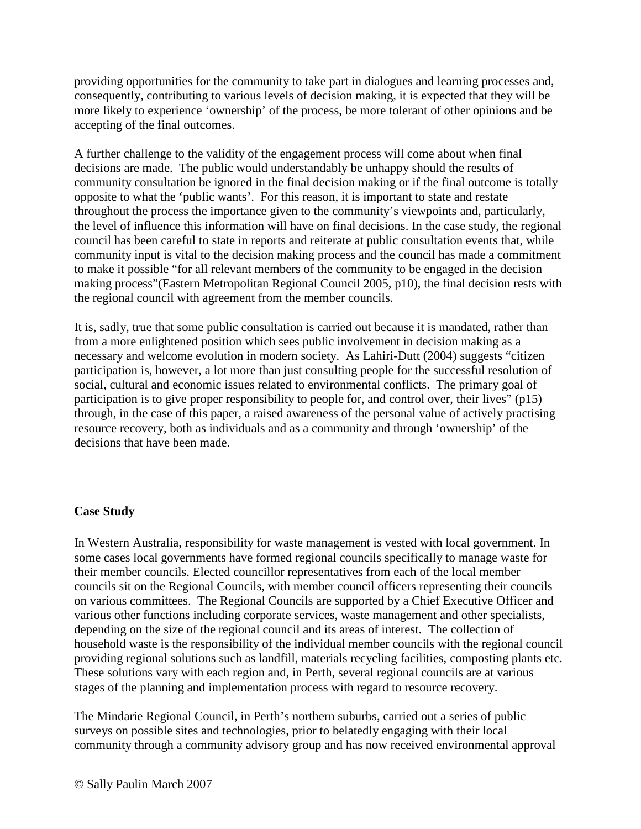providing opportunities for the community to take part in dialogues and learning processes and, consequently, contributing to various levels of decision making, it is expected that they will be more likely to experience 'ownership' of the process, be more tolerant of other opinions and be accepting of the final outcomes.

A further challenge to the validity of the engagement process will come about when final decisions are made. The public would understandably be unhappy should the results of community consultation be ignored in the final decision making or if the final outcome is totally opposite to what the 'public wants'. For this reason, it is important to state and restate throughout the process the importance given to the community's viewpoints and, particularly, the level of influence this information will have on final decisions. In the case study, the regional council has been careful to state in reports and reiterate at public consultation events that, while community input is vital to the decision making process and the council has made a commitment to make it possible "for all relevant members of the community to be engaged in the decision making process"(Eastern Metropolitan Regional Council 2005, p10), the final decision rests with the regional council with agreement from the member councils.

It is, sadly, true that some public consultation is carried out because it is mandated, rather than from a more enlightened position which sees public involvement in decision making as a necessary and welcome evolution in modern society. As Lahiri-Dutt (2004) suggests "citizen participation is, however, a lot more than just consulting people for the successful resolution of social, cultural and economic issues related to environmental conflicts. The primary goal of participation is to give proper responsibility to people for, and control over, their lives" (p15) through, in the case of this paper, a raised awareness of the personal value of actively practising resource recovery, both as individuals and as a community and through 'ownership' of the decisions that have been made.

### **Case Study**

In Western Australia, responsibility for waste management is vested with local government. In some cases local governments have formed regional councils specifically to manage waste for their member councils. Elected councillor representatives from each of the local member councils sit on the Regional Councils, with member council officers representing their councils on various committees. The Regional Councils are supported by a Chief Executive Officer and various other functions including corporate services, waste management and other specialists, depending on the size of the regional council and its areas of interest. The collection of household waste is the responsibility of the individual member councils with the regional council providing regional solutions such as landfill, materials recycling facilities, composting plants etc. These solutions vary with each region and, in Perth, several regional councils are at various stages of the planning and implementation process with regard to resource recovery.

The Mindarie Regional Council, in Perth's northern suburbs, carried out a series of public surveys on possible sites and technologies, prior to belatedly engaging with their local community through a community advisory group and has now received environmental approval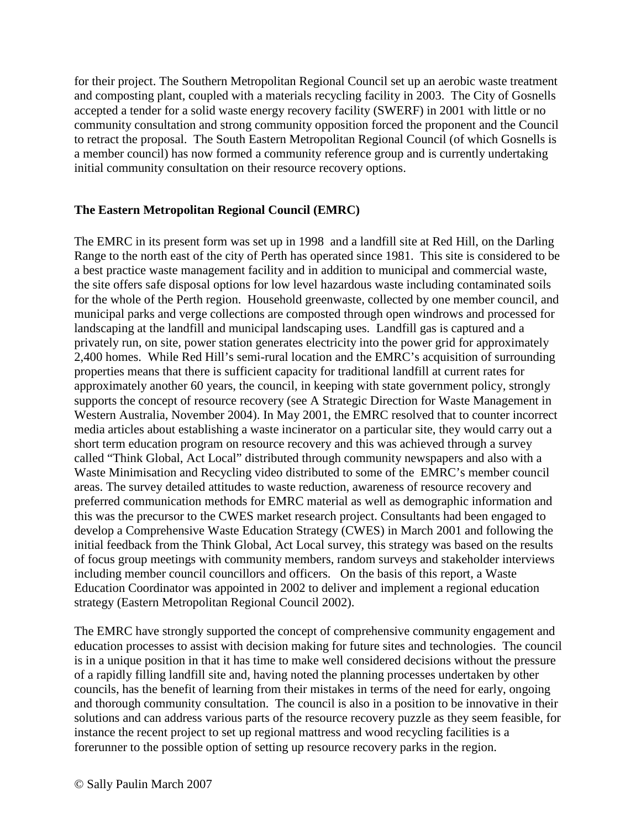for their project. The Southern Metropolitan Regional Council set up an aerobic waste treatment and composting plant, coupled with a materials recycling facility in 2003. The City of Gosnells accepted a tender for a solid waste energy recovery facility (SWERF) in 2001 with little or no community consultation and strong community opposition forced the proponent and the Council to retract the proposal. The South Eastern Metropolitan Regional Council (of which Gosnells is a member council) has now formed a community reference group and is currently undertaking initial community consultation on their resource recovery options.

### **The Eastern Metropolitan Regional Council (EMRC)**

The EMRC in its present form was set up in 1998 and a landfill site at Red Hill, on the Darling Range to the north east of the city of Perth has operated since 1981. This site is considered to be a best practice waste management facility and in addition to municipal and commercial waste, the site offers safe disposal options for low level hazardous waste including contaminated soils for the whole of the Perth region. Household greenwaste, collected by one member council, and municipal parks and verge collections are composted through open windrows and processed for landscaping at the landfill and municipal landscaping uses. Landfill gas is captured and a privately run, on site, power station generates electricity into the power grid for approximately 2,400 homes. While Red Hill's semi-rural location and the EMRC's acquisition of surrounding properties means that there is sufficient capacity for traditional landfill at current rates for approximately another 60 years, the council, in keeping with state government policy, strongly supports the concept of resource recovery (see A Strategic Direction for Waste Management in Western Australia, November 2004). In May 2001, the EMRC resolved that to counter incorrect media articles about establishing a waste incinerator on a particular site, they would carry out a short term education program on resource recovery and this was achieved through a survey called "Think Global, Act Local" distributed through community newspapers and also with a Waste Minimisation and Recycling video distributed to some of the EMRC's member council areas. The survey detailed attitudes to waste reduction, awareness of resource recovery and preferred communication methods for EMRC material as well as demographic information and this was the precursor to the CWES market research project. Consultants had been engaged to develop a Comprehensive Waste Education Strategy (CWES) in March 2001 and following the initial feedback from the Think Global, Act Local survey, this strategy was based on the results of focus group meetings with community members, random surveys and stakeholder interviews including member council councillors and officers. On the basis of this report, a Waste Education Coordinator was appointed in 2002 to deliver and implement a regional education strategy (Eastern Metropolitan Regional Council 2002).

The EMRC have strongly supported the concept of comprehensive community engagement and education processes to assist with decision making for future sites and technologies. The council is in a unique position in that it has time to make well considered decisions without the pressure of a rapidly filling landfill site and, having noted the planning processes undertaken by other councils, has the benefit of learning from their mistakes in terms of the need for early, ongoing and thorough community consultation. The council is also in a position to be innovative in their solutions and can address various parts of the resource recovery puzzle as they seem feasible, for instance the recent project to set up regional mattress and wood recycling facilities is a forerunner to the possible option of setting up resource recovery parks in the region.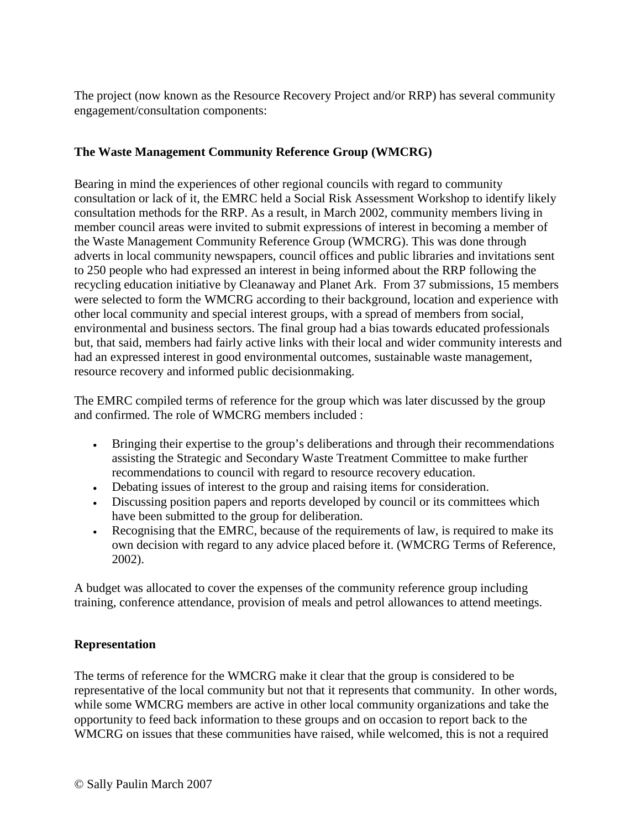The project (now known as the Resource Recovery Project and/or RRP) has several community engagement/consultation components:

# **The Waste Management Community Reference Group (WMCRG)**

Bearing in mind the experiences of other regional councils with regard to community consultation or lack of it, the EMRC held a Social Risk Assessment Workshop to identify likely consultation methods for the RRP. As a result, in March 2002, community members living in member council areas were invited to submit expressions of interest in becoming a member of the Waste Management Community Reference Group (WMCRG). This was done through adverts in local community newspapers, council offices and public libraries and invitations sent to 250 people who had expressed an interest in being informed about the RRP following the recycling education initiative by Cleanaway and Planet Ark. From 37 submissions, 15 members were selected to form the WMCRG according to their background, location and experience with other local community and special interest groups, with a spread of members from social, environmental and business sectors. The final group had a bias towards educated professionals but, that said, members had fairly active links with their local and wider community interests and had an expressed interest in good environmental outcomes, sustainable waste management, resource recovery and informed public decisionmaking.

The EMRC compiled terms of reference for the group which was later discussed by the group and confirmed. The role of WMCRG members included :

- Bringing their expertise to the group's deliberations and through their recommendations assisting the Strategic and Secondary Waste Treatment Committee to make further recommendations to council with regard to resource recovery education.
- Debating issues of interest to the group and raising items for consideration.
- Discussing position papers and reports developed by council or its committees which have been submitted to the group for deliberation.
- Recognising that the EMRC, because of the requirements of law, is required to make its own decision with regard to any advice placed before it. (WMCRG Terms of Reference, 2002).

A budget was allocated to cover the expenses of the community reference group including training, conference attendance, provision of meals and petrol allowances to attend meetings.

### **Representation**

The terms of reference for the WMCRG make it clear that the group is considered to be representative of the local community but not that it represents that community. In other words, while some WMCRG members are active in other local community organizations and take the opportunity to feed back information to these groups and on occasion to report back to the WMCRG on issues that these communities have raised, while welcomed, this is not a required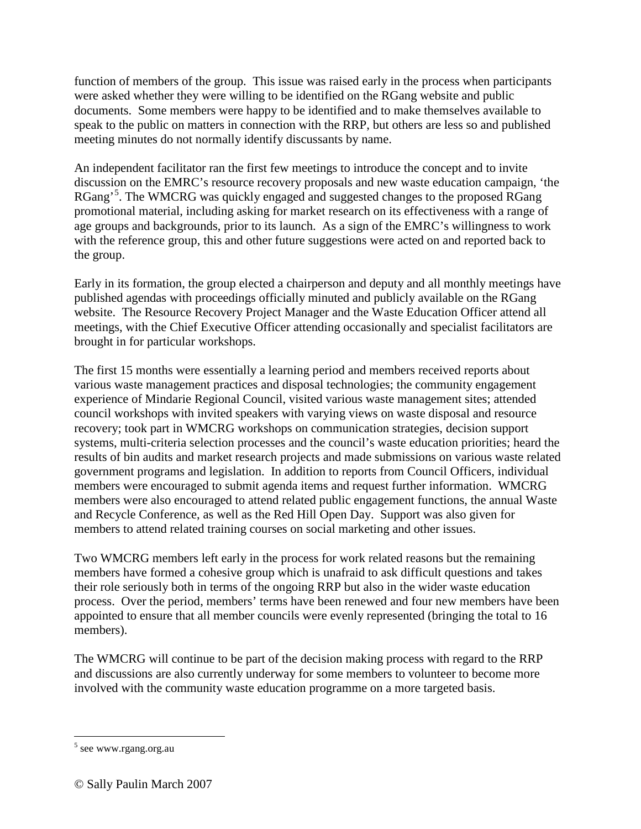function of members of the group. This issue was raised early in the process when participants were asked whether they were willing to be identified on the RGang website and public documents. Some members were happy to be identified and to make themselves available to speak to the public on matters in connection with the RRP, but others are less so and published meeting minutes do not normally identify discussants by name.

An independent facilitator ran the first few meetings to introduce the concept and to invite discussion on the EMRC's resource recovery proposals and new waste education campaign, 'the RGang'<sup>[5](#page-7-0)</sup>. The WMCRG was quickly engaged and suggested changes to the proposed RGang promotional material, including asking for market research on its effectiveness with a range of age groups and backgrounds, prior to its launch. As a sign of the EMRC's willingness to work with the reference group, this and other future suggestions were acted on and reported back to the group.

Early in its formation, the group elected a chairperson and deputy and all monthly meetings have published agendas with proceedings officially minuted and publicly available on the RGang website. The Resource Recovery Project Manager and the Waste Education Officer attend all meetings, with the Chief Executive Officer attending occasionally and specialist facilitators are brought in for particular workshops.

The first 15 months were essentially a learning period and members received reports about various waste management practices and disposal technologies; the community engagement experience of Mindarie Regional Council, visited various waste management sites; attended council workshops with invited speakers with varying views on waste disposal and resource recovery; took part in WMCRG workshops on communication strategies, decision support systems, multi-criteria selection processes and the council's waste education priorities; heard the results of bin audits and market research projects and made submissions on various waste related government programs and legislation. In addition to reports from Council Officers, individual members were encouraged to submit agenda items and request further information. WMCRG members were also encouraged to attend related public engagement functions, the annual Waste and Recycle Conference, as well as the Red Hill Open Day. Support was also given for members to attend related training courses on social marketing and other issues.

Two WMCRG members left early in the process for work related reasons but the remaining members have formed a cohesive group which is unafraid to ask difficult questions and takes their role seriously both in terms of the ongoing RRP but also in the wider waste education process. Over the period, members' terms have been renewed and four new members have been appointed to ensure that all member councils were evenly represented (bringing the total to 16 members).

The WMCRG will continue to be part of the decision making process with regard to the RRP and discussions are also currently underway for some members to volunteer to become more involved with the community waste education programme on a more targeted basis.

<span id="page-7-0"></span> <sup>5</sup> see www.rgang.org.au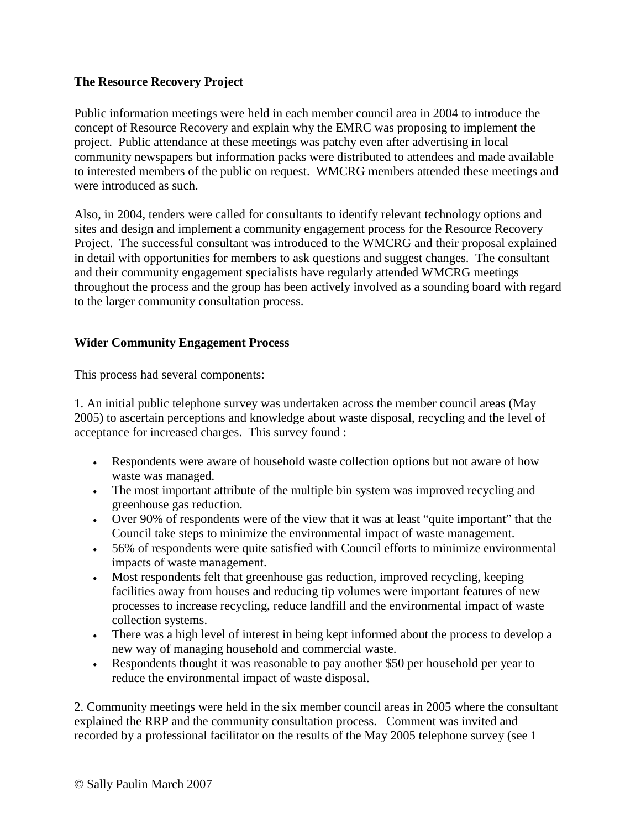### **The Resource Recovery Project**

Public information meetings were held in each member council area in 2004 to introduce the concept of Resource Recovery and explain why the EMRC was proposing to implement the project. Public attendance at these meetings was patchy even after advertising in local community newspapers but information packs were distributed to attendees and made available to interested members of the public on request. WMCRG members attended these meetings and were introduced as such.

Also, in 2004, tenders were called for consultants to identify relevant technology options and sites and design and implement a community engagement process for the Resource Recovery Project. The successful consultant was introduced to the WMCRG and their proposal explained in detail with opportunities for members to ask questions and suggest changes. The consultant and their community engagement specialists have regularly attended WMCRG meetings throughout the process and the group has been actively involved as a sounding board with regard to the larger community consultation process.

### **Wider Community Engagement Process**

This process had several components:

1. An initial public telephone survey was undertaken across the member council areas (May 2005) to ascertain perceptions and knowledge about waste disposal, recycling and the level of acceptance for increased charges. This survey found :

- Respondents were aware of household waste collection options but not aware of how waste was managed.
- The most important attribute of the multiple bin system was improved recycling and greenhouse gas reduction.
- Over 90% of respondents were of the view that it was at least "quite important" that the Council take steps to minimize the environmental impact of waste management.
- 56% of respondents were quite satisfied with Council efforts to minimize environmental impacts of waste management.
- Most respondents felt that greenhouse gas reduction, improved recycling, keeping facilities away from houses and reducing tip volumes were important features of new processes to increase recycling, reduce landfill and the environmental impact of waste collection systems.
- There was a high level of interest in being kept informed about the process to develop a new way of managing household and commercial waste.
- Respondents thought it was reasonable to pay another \$50 per household per year to reduce the environmental impact of waste disposal.

2. Community meetings were held in the six member council areas in 2005 where the consultant explained the RRP and the community consultation process. Comment was invited and recorded by a professional facilitator on the results of the May 2005 telephone survey (see 1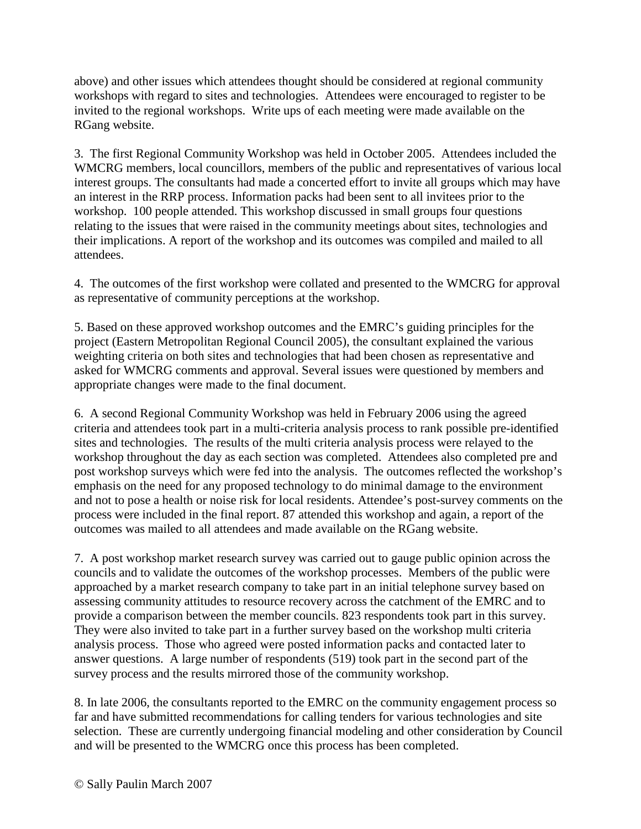above) and other issues which attendees thought should be considered at regional community workshops with regard to sites and technologies. Attendees were encouraged to register to be invited to the regional workshops. Write ups of each meeting were made available on the RGang website.

3. The first Regional Community Workshop was held in October 2005. Attendees included the WMCRG members, local councillors, members of the public and representatives of various local interest groups. The consultants had made a concerted effort to invite all groups which may have an interest in the RRP process. Information packs had been sent to all invitees prior to the workshop. 100 people attended. This workshop discussed in small groups four questions relating to the issues that were raised in the community meetings about sites, technologies and their implications. A report of the workshop and its outcomes was compiled and mailed to all attendees.

4. The outcomes of the first workshop were collated and presented to the WMCRG for approval as representative of community perceptions at the workshop.

5. Based on these approved workshop outcomes and the EMRC's guiding principles for the project (Eastern Metropolitan Regional Council 2005), the consultant explained the various weighting criteria on both sites and technologies that had been chosen as representative and asked for WMCRG comments and approval. Several issues were questioned by members and appropriate changes were made to the final document.

6. A second Regional Community Workshop was held in February 2006 using the agreed criteria and attendees took part in a multi-criteria analysis process to rank possible pre-identified sites and technologies. The results of the multi criteria analysis process were relayed to the workshop throughout the day as each section was completed. Attendees also completed pre and post workshop surveys which were fed into the analysis. The outcomes reflected the workshop's emphasis on the need for any proposed technology to do minimal damage to the environment and not to pose a health or noise risk for local residents. Attendee's post-survey comments on the process were included in the final report. 87 attended this workshop and again, a report of the outcomes was mailed to all attendees and made available on the RGang website.

7. A post workshop market research survey was carried out to gauge public opinion across the councils and to validate the outcomes of the workshop processes. Members of the public were approached by a market research company to take part in an initial telephone survey based on assessing community attitudes to resource recovery across the catchment of the EMRC and to provide a comparison between the member councils. 823 respondents took part in this survey. They were also invited to take part in a further survey based on the workshop multi criteria analysis process. Those who agreed were posted information packs and contacted later to answer questions. A large number of respondents (519) took part in the second part of the survey process and the results mirrored those of the community workshop.

8. In late 2006, the consultants reported to the EMRC on the community engagement process so far and have submitted recommendations for calling tenders for various technologies and site selection. These are currently undergoing financial modeling and other consideration by Council and will be presented to the WMCRG once this process has been completed.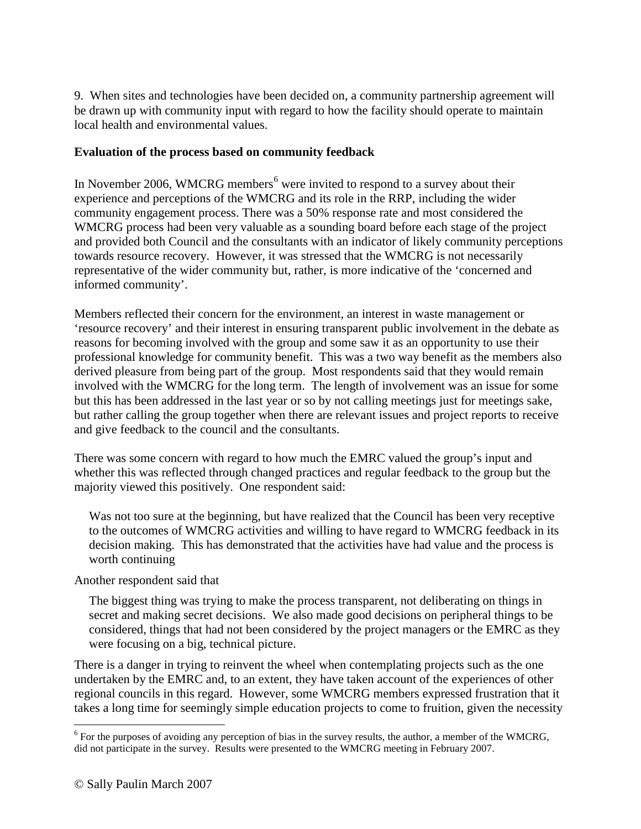9. When sites and technologies have been decided on, a community partnership agreement will be drawn up with community input with regard to how the facility should operate to maintain local health and environmental values.

#### **Evaluation of the process based on community feedback**

In November 200[6](#page-10-0), WMCRG members $<sup>6</sup>$  were invited to respond to a survey about their</sup> experience and perceptions of the WMCRG and its role in the RRP, including the wider community engagement process. There was a 50% response rate and most considered the WMCRG process had been very valuable as a sounding board before each stage of the project and provided both Council and the consultants with an indicator of likely community perceptions towards resource recovery. However, it was stressed that the WMCRG is not necessarily representative of the wider community but, rather, is more indicative of the 'concerned and informed community'.

Members reflected their concern for the environment, an interest in waste management or 'resource recovery' and their interest in ensuring transparent public involvement in the debate as reasons for becoming involved with the group and some saw it as an opportunity to use their professional knowledge for community benefit. This was a two way benefit as the members also derived pleasure from being part of the group. Most respondents said that they would remain involved with the WMCRG for the long term. The length of involvement was an issue for some but this has been addressed in the last year or so by not calling meetings just for meetings sake, but rather calling the group together when there are relevant issues and project reports to receive and give feedback to the council and the consultants.

There was some concern with regard to how much the EMRC valued the group's input and whether this was reflected through changed practices and regular feedback to the group but the majority viewed this positively. One respondent said:

Was not too sure at the beginning, but have realized that the Council has been very receptive to the outcomes of WMCRG activities and willing to have regard to WMCRG feedback in its decision making. This has demonstrated that the activities have had value and the process is worth continuing

### Another respondent said that

The biggest thing was trying to make the process transparent, not deliberating on things in secret and making secret decisions. We also made good decisions on peripheral things to be considered, things that had not been considered by the project managers or the EMRC as they were focusing on a big, technical picture.

There is a danger in trying to reinvent the wheel when contemplating projects such as the one undertaken by the EMRC and, to an extent, they have taken account of the experiences of other regional councils in this regard. However, some WMCRG members expressed frustration that it takes a long time for seemingly simple education projects to come to fruition, given the necessity

<span id="page-10-0"></span> $6$  For the purposes of avoiding any perception of bias in the survey results, the author, a member of the WMCRG, did not participate in the survey. Results were presented to the WMCRG meeting in February 2007.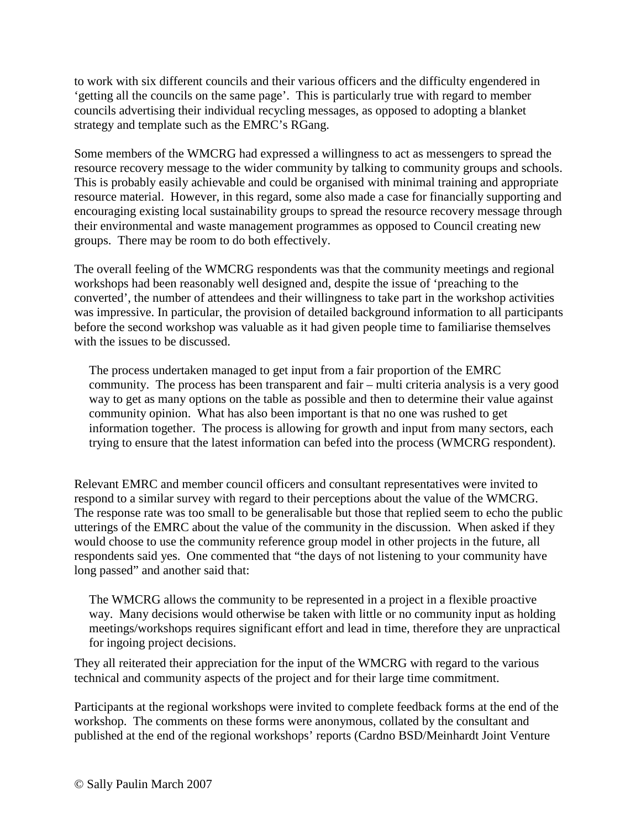to work with six different councils and their various officers and the difficulty engendered in 'getting all the councils on the same page'. This is particularly true with regard to member councils advertising their individual recycling messages, as opposed to adopting a blanket strategy and template such as the EMRC's RGang.

Some members of the WMCRG had expressed a willingness to act as messengers to spread the resource recovery message to the wider community by talking to community groups and schools. This is probably easily achievable and could be organised with minimal training and appropriate resource material. However, in this regard, some also made a case for financially supporting and encouraging existing local sustainability groups to spread the resource recovery message through their environmental and waste management programmes as opposed to Council creating new groups. There may be room to do both effectively.

The overall feeling of the WMCRG respondents was that the community meetings and regional workshops had been reasonably well designed and, despite the issue of 'preaching to the converted', the number of attendees and their willingness to take part in the workshop activities was impressive. In particular, the provision of detailed background information to all participants before the second workshop was valuable as it had given people time to familiarise themselves with the issues to be discussed.

The process undertaken managed to get input from a fair proportion of the EMRC community. The process has been transparent and fair – multi criteria analysis is a very good way to get as many options on the table as possible and then to determine their value against community opinion. What has also been important is that no one was rushed to get information together. The process is allowing for growth and input from many sectors, each trying to ensure that the latest information can befed into the process (WMCRG respondent).

Relevant EMRC and member council officers and consultant representatives were invited to respond to a similar survey with regard to their perceptions about the value of the WMCRG. The response rate was too small to be generalisable but those that replied seem to echo the public utterings of the EMRC about the value of the community in the discussion. When asked if they would choose to use the community reference group model in other projects in the future, all respondents said yes. One commented that "the days of not listening to your community have long passed" and another said that:

The WMCRG allows the community to be represented in a project in a flexible proactive way. Many decisions would otherwise be taken with little or no community input as holding meetings/workshops requires significant effort and lead in time, therefore they are unpractical for ingoing project decisions.

They all reiterated their appreciation for the input of the WMCRG with regard to the various technical and community aspects of the project and for their large time commitment.

Participants at the regional workshops were invited to complete feedback forms at the end of the workshop. The comments on these forms were anonymous, collated by the consultant and published at the end of the regional workshops' reports (Cardno BSD/Meinhardt Joint Venture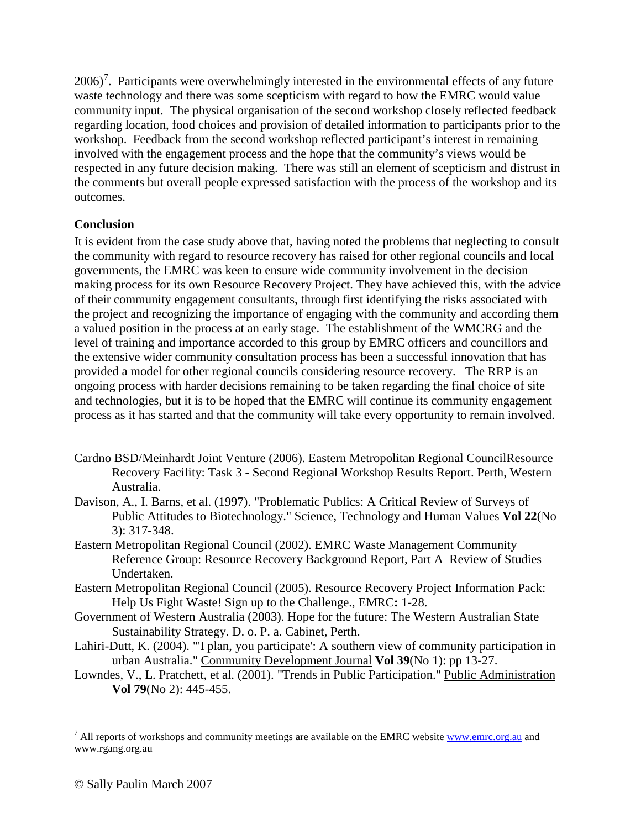$2006$ <sup>[7](#page-12-0)</sup>. Participants were overwhelmingly interested in the environmental effects of any future waste technology and there was some scepticism with regard to how the EMRC would value community input. The physical organisation of the second workshop closely reflected feedback regarding location, food choices and provision of detailed information to participants prior to the workshop. Feedback from the second workshop reflected participant's interest in remaining involved with the engagement process and the hope that the community's views would be respected in any future decision making. There was still an element of scepticism and distrust in the comments but overall people expressed satisfaction with the process of the workshop and its outcomes.

### **Conclusion**

It is evident from the case study above that, having noted the problems that neglecting to consult the community with regard to resource recovery has raised for other regional councils and local governments, the EMRC was keen to ensure wide community involvement in the decision making process for its own Resource Recovery Project. They have achieved this, with the advice of their community engagement consultants, through first identifying the risks associated with the project and recognizing the importance of engaging with the community and according them a valued position in the process at an early stage. The establishment of the WMCRG and the level of training and importance accorded to this group by EMRC officers and councillors and the extensive wider community consultation process has been a successful innovation that has provided a model for other regional councils considering resource recovery. The RRP is an ongoing process with harder decisions remaining to be taken regarding the final choice of site and technologies, but it is to be hoped that the EMRC will continue its community engagement process as it has started and that the community will take every opportunity to remain involved.

- Cardno BSD/Meinhardt Joint Venture (2006). Eastern Metropolitan Regional CouncilResource Recovery Facility: Task 3 - Second Regional Workshop Results Report. Perth, Western Australia.
- Davison, A., I. Barns, et al. (1997). "Problematic Publics: A Critical Review of Surveys of Public Attitudes to Biotechnology." Science, Technology and Human Values **Vol 22**(No 3): 317-348.
- Eastern Metropolitan Regional Council (2002). EMRC Waste Management Community Reference Group: Resource Recovery Background Report, Part A Review of Studies Undertaken.
- Eastern Metropolitan Regional Council (2005). Resource Recovery Project Information Pack: Help Us Fight Waste! Sign up to the Challenge., EMRC**:** 1-28.
- Government of Western Australia (2003). Hope for the future: The Western Australian State Sustainability Strategy. D. o. P. a. Cabinet, Perth.
- Lahiri-Dutt, K. (2004). "'I plan, you participate': A southern view of community participation in urban Australia." Community Development Journal **Vol 39**(No 1): pp 13-27.
- Lowndes, V., L. Pratchett, et al. (2001). "Trends in Public Participation." Public Administration **Vol 79**(No 2): 445-455.

<span id="page-12-0"></span> $<sup>7</sup>$  All reports of workshops and community meetings are available on the EMRC website  $\frac{www.emrc.org.au}{www.emrc.org.au}$  and</sup> www.rgang.org.au